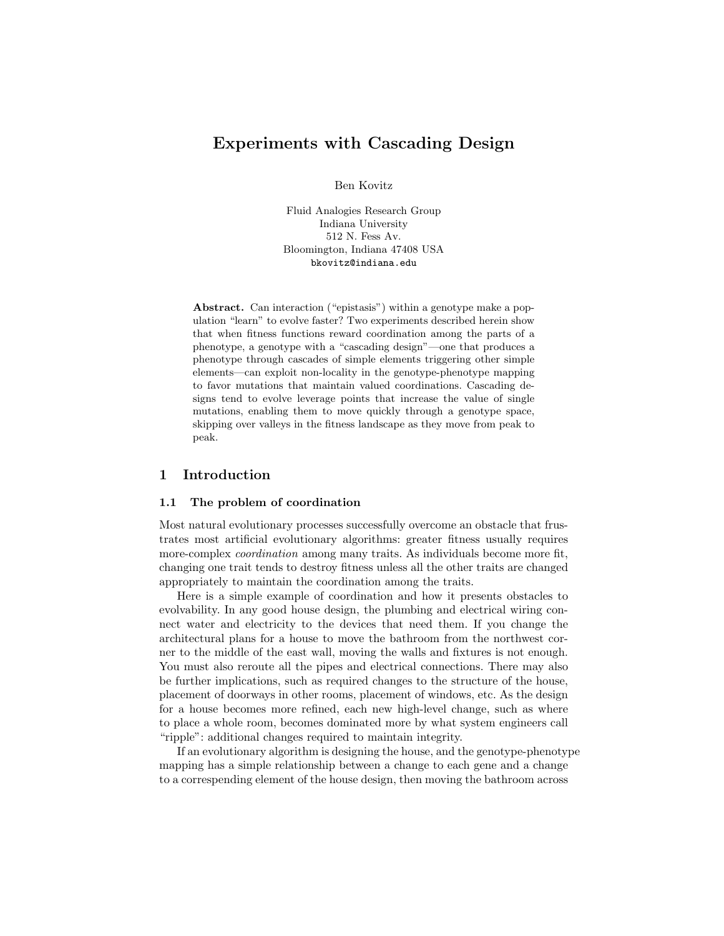# **Experiments with Cascading Design**

Ben Kovitz

Fluid Analogies Research Group Indiana University 512 N. Fess Av. Bloomington, Indiana 47408 USA bkovitz@indiana.edu

**Abstract.** Can interaction ("epistasis") within a genotype make a population "learn" to evolve faster? Two experiments described herein show that when fitness functions reward coordination among the parts of a phenotype, a genotype with a "cascading design"—one that produces a phenotype through cascades of simple elements triggering other simple elements—can exploit non-locality in the genotype-phenotype mapping to favor mutations that maintain valued coordinations. Cascading designs tend to evolve leverage points that increase the value of single mutations, enabling them to move quickly through a genotype space, skipping over valleys in the fitness landscape as they move from peak to peak.

## **1 Introduction**

## **1.1 The problem of coordination**

Most natural evolutionary processes successfully overcome an obstacle that frustrates most artificial evolutionary algorithms: greater fitness usually requires more-complex *coordination* among many traits. As individuals become more fit, changing one trait tends to destroy fitness unless all the other traits are changed appropriately to maintain the coordination among the traits.

Here is a simple example of coordination and how it presents obstacles to evolvability. In any good house design, the plumbing and electrical wiring connect water and electricity to the devices that need them. If you change the architectural plans for a house to move the bathroom from the northwest corner to the middle of the east wall, moving the walls and fixtures is not enough. You must also reroute all the pipes and electrical connections. There may also be further implications, such as required changes to the structure of the house, placement of doorways in other rooms, placement of windows, etc. As the design for a house becomes more refined, each new high-level change, such as where to place a whole room, becomes dominated more by what system engineers call "ripple": additional changes required to maintain integrity.

If an evolutionary algorithm is designing the house, and the genotype-phenotype mapping has a simple relationship between a change to each gene and a change to a correspending element of the house design, then moving the bathroom across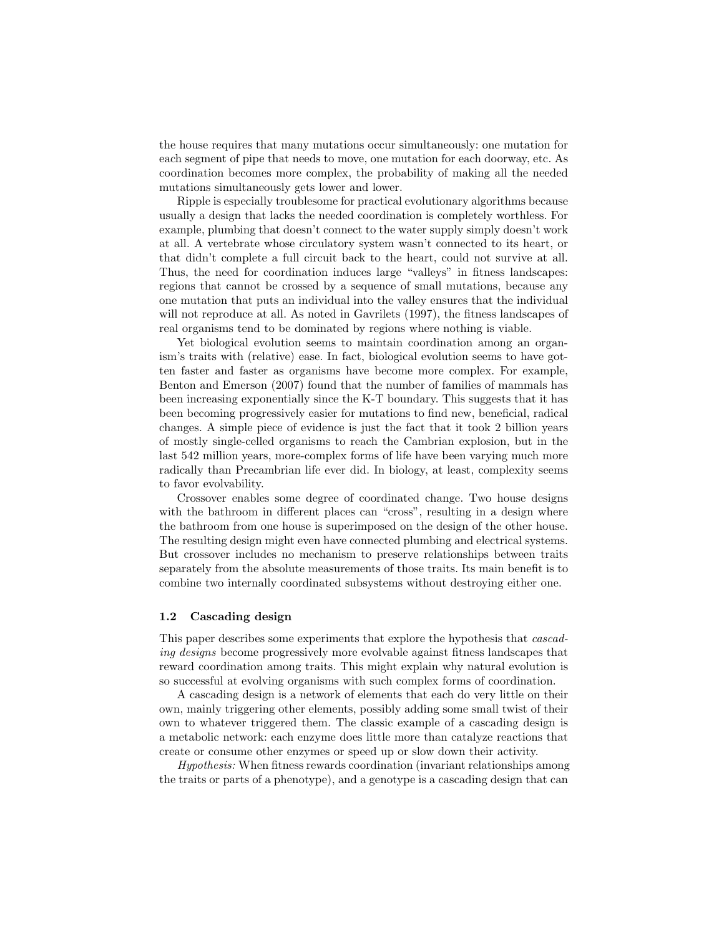the house requires that many mutations occur simultaneously: one mutation for each segment of pipe that needs to move, one mutation for each doorway, etc. As coordination becomes more complex, the probability of making all the needed mutations simultaneously gets lower and lower.

Ripple is especially troublesome for practical evolutionary algorithms because usually a design that lacks the needed coordination is completely worthless. For example, plumbing that doesn't connect to the water supply simply doesn't work at all. A vertebrate whose circulatory system wasn't connected to its heart, or that didn't complete a full circuit back to the heart, could not survive at all. Thus, the need for coordination induces large "valleys" in fitness landscapes: regions that cannot be crossed by a sequence of small mutations, because any one mutation that puts an individual into the valley ensures that the individual will not reproduce at all. As noted in Gavrilets (1997), the fitness landscapes of real organisms tend to be dominated by regions where nothing is viable.

Yet biological evolution seems to maintain coordination among an organism's traits with (relative) ease. In fact, biological evolution seems to have gotten faster and faster as organisms have become more complex. For example, Benton and Emerson (2007) found that the number of families of mammals has been increasing exponentially since the K-T boundary. This suggests that it has been becoming progressively easier for mutations to find new, beneficial, radical changes. A simple piece of evidence is just the fact that it took 2 billion years of mostly single-celled organisms to reach the Cambrian explosion, but in the last 542 million years, more-complex forms of life have been varying much more radically than Precambrian life ever did. In biology, at least, complexity seems to favor evolvability.

Crossover enables some degree of coordinated change. Two house designs with the bathroom in different places can "cross", resulting in a design where the bathroom from one house is superimposed on the design of the other house. The resulting design might even have connected plumbing and electrical systems. But crossover includes no mechanism to preserve relationships between traits separately from the absolute measurements of those traits. Its main benefit is to combine two internally coordinated subsystems without destroying either one.

### **1.2 Cascading design**

This paper describes some experiments that explore the hypothesis that *cascading designs* become progressively more evolvable against fitness landscapes that reward coordination among traits. This might explain why natural evolution is so successful at evolving organisms with such complex forms of coordination.

A cascading design is a network of elements that each do very little on their own, mainly triggering other elements, possibly adding some small twist of their own to whatever triggered them. The classic example of a cascading design is a metabolic network: each enzyme does little more than catalyze reactions that create or consume other enzymes or speed up or slow down their activity.

*Hypothesis:* When fitness rewards coordination (invariant relationships among the traits or parts of a phenotype), and a genotype is a cascading design that can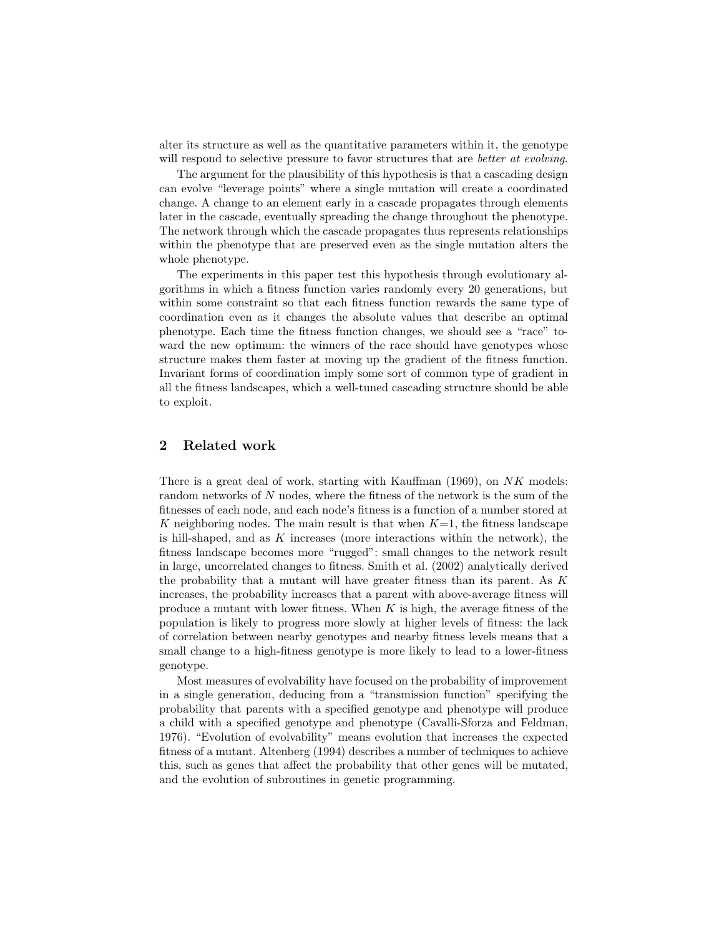alter its structure as well as the quantitative parameters within it, the genotype will respond to selective pressure to favor structures that are *better at evolving*.

The argument for the plausibility of this hypothesis is that a cascading design can evolve "leverage points" where a single mutation will create a coordinated change. A change to an element early in a cascade propagates through elements later in the cascade, eventually spreading the change throughout the phenotype. The network through which the cascade propagates thus represents relationships within the phenotype that are preserved even as the single mutation alters the whole phenotype.

The experiments in this paper test this hypothesis through evolutionary algorithms in which a fitness function varies randomly every 20 generations, but within some constraint so that each fitness function rewards the same type of coordination even as it changes the absolute values that describe an optimal phenotype. Each time the fitness function changes, we should see a "race" toward the new optimum: the winners of the race should have genotypes whose structure makes them faster at moving up the gradient of the fitness function. Invariant forms of coordination imply some sort of common type of gradient in all the fitness landscapes, which a well-tuned cascading structure should be able to exploit.

## **2 Related work**

There is a great deal of work, starting with Kauffman (1969), on *NK* models: random networks of *N* nodes, where the fitness of the network is the sum of the fitnesses of each node, and each node's fitness is a function of a number stored at *K* neighboring nodes. The main result is that when *K*=1, the fitness landscape is hill-shaped, and as *K* increases (more interactions within the network), the fitness landscape becomes more "rugged": small changes to the network result in large, uncorrelated changes to fitness. Smith et al. (2002) analytically derived the probability that a mutant will have greater fitness than its parent. As *K* increases, the probability increases that a parent with above-average fitness will produce a mutant with lower fitness. When *K* is high, the average fitness of the population is likely to progress more slowly at higher levels of fitness: the lack of correlation between nearby genotypes and nearby fitness levels means that a small change to a high-fitness genotype is more likely to lead to a lower-fitness genotype.

Most measures of evolvability have focused on the probability of improvement in a single generation, deducing from a "transmission function" specifying the probability that parents with a specified genotype and phenotype will produce a child with a specified genotype and phenotype (Cavalli-Sforza and Feldman, 1976). "Evolution of evolvability" means evolution that increases the expected fitness of a mutant. Altenberg (1994) describes a number of techniques to achieve this, such as genes that affect the probability that other genes will be mutated, and the evolution of subroutines in genetic programming.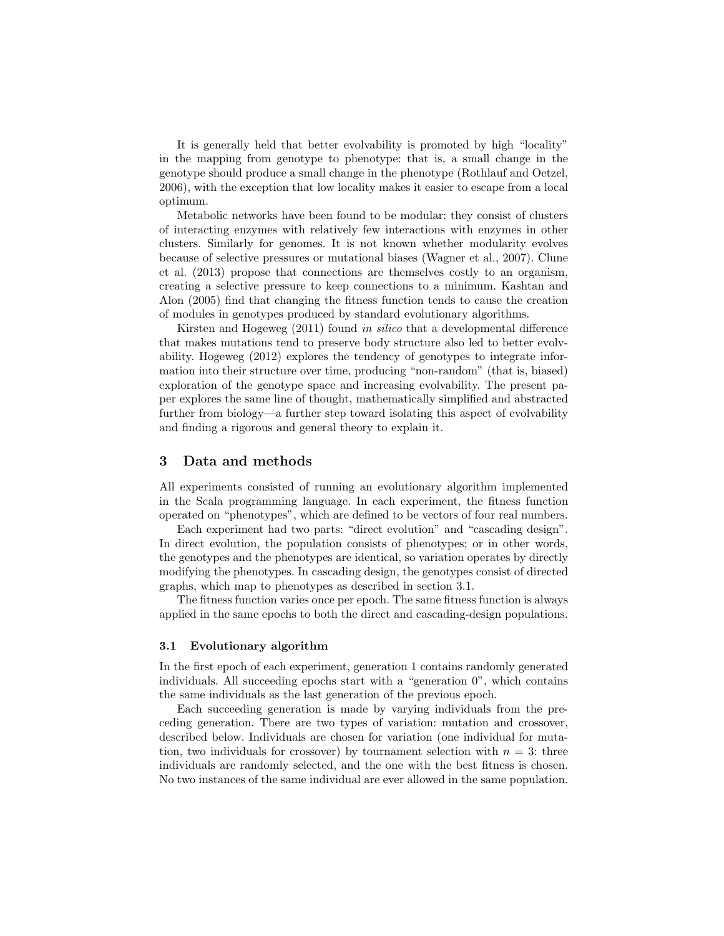It is generally held that better evolvability is promoted by high "locality" in the mapping from genotype to phenotype: that is, a small change in the genotype should produce a small change in the phenotype (Rothlauf and Oetzel, 2006), with the exception that low locality makes it easier to escape from a local optimum.

Metabolic networks have been found to be modular: they consist of clusters of interacting enzymes with relatively few interactions with enzymes in other clusters. Similarly for genomes. It is not known whether modularity evolves because of selective pressures or mutational biases (Wagner et al., 2007). Clune et al. (2013) propose that connections are themselves costly to an organism, creating a selective pressure to keep connections to a minimum. Kashtan and Alon (2005) find that changing the fitness function tends to cause the creation of modules in genotypes produced by standard evolutionary algorithms.

Kirsten and Hogeweg (2011) found *in silico* that a developmental difference that makes mutations tend to preserve body structure also led to better evolvability. Hogeweg (2012) explores the tendency of genotypes to integrate information into their structure over time, producing "non-random" (that is, biased) exploration of the genotype space and increasing evolvability. The present paper explores the same line of thought, mathematically simplified and abstracted further from biology—a further step toward isolating this aspect of evolvability and finding a rigorous and general theory to explain it.

## **3 Data and methods**

All experiments consisted of running an evolutionary algorithm implemented in the Scala programming language. In each experiment, the fitness function operated on "phenotypes", which are defined to be vectors of four real numbers.

Each experiment had two parts: "direct evolution" and "cascading design". In direct evolution, the population consists of phenotypes; or in other words, the genotypes and the phenotypes are identical, so variation operates by directly modifying the phenotypes. In cascading design, the genotypes consist of directed graphs, which map to phenotypes as described in section 3.1.

The fitness function varies once per epoch. The same fitness function is always applied in the same epochs to both the direct and cascading-design populations.

#### **3.1 Evolutionary algorithm**

In the first epoch of each experiment, generation 1 contains randomly generated individuals. All succeeding epochs start with a "generation 0", which contains the same individuals as the last generation of the previous epoch.

Each succeeding generation is made by varying individuals from the preceding generation. There are two types of variation: mutation and crossover, described below. Individuals are chosen for variation (one individual for mutation, two individuals for crossover) by tournament selection with  $n = 3$ : three individuals are randomly selected, and the one with the best fitness is chosen. No two instances of the same individual are ever allowed in the same population.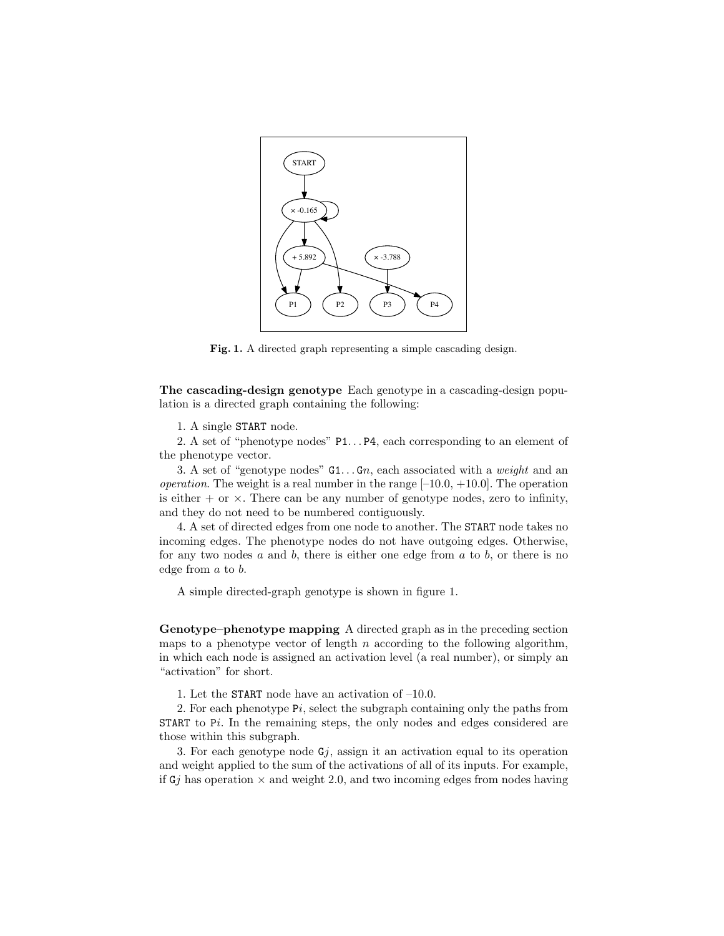

**Fig. 1.** A directed graph representing a simple cascading design.

**The cascading-design genotype** Each genotype in a cascading-design population is a directed graph containing the following:

1. A single START node.

2. A set of "phenotype nodes" P1...P4, each corresponding to an element of the phenotype vector.

3. A set of "genotype nodes" G1. . . G*n*, each associated with a *weight* and an *operation*. The weight is a real number in the range  $[-10.0, +10.0]$ . The operation is either  $+$  or  $\times$ . There can be any number of genotype nodes, zero to infinity, and they do not need to be numbered contiguously.

4. A set of directed edges from one node to another. The START node takes no incoming edges. The phenotype nodes do not have outgoing edges. Otherwise, for any two nodes *a* and *b*, there is either one edge from *a* to *b*, or there is no edge from *a* to *b*.

A simple directed-graph genotype is shown in figure 1.

**Genotype–phenotype mapping** A directed graph as in the preceding section maps to a phenotype vector of length *n* according to the following algorithm, in which each node is assigned an activation level (a real number), or simply an "activation" for short.

1. Let the START node have an activation of –10.0.

2. For each phenotype P*i*, select the subgraph containing only the paths from START to P*i*. In the remaining steps, the only nodes and edges considered are those within this subgraph.

3. For each genotype node  $G_j$ , assign it an activation equal to its operation and weight applied to the sum of the activations of all of its inputs. For example, if  $Gj$  has operation  $\times$  and weight 2.0, and two incoming edges from nodes having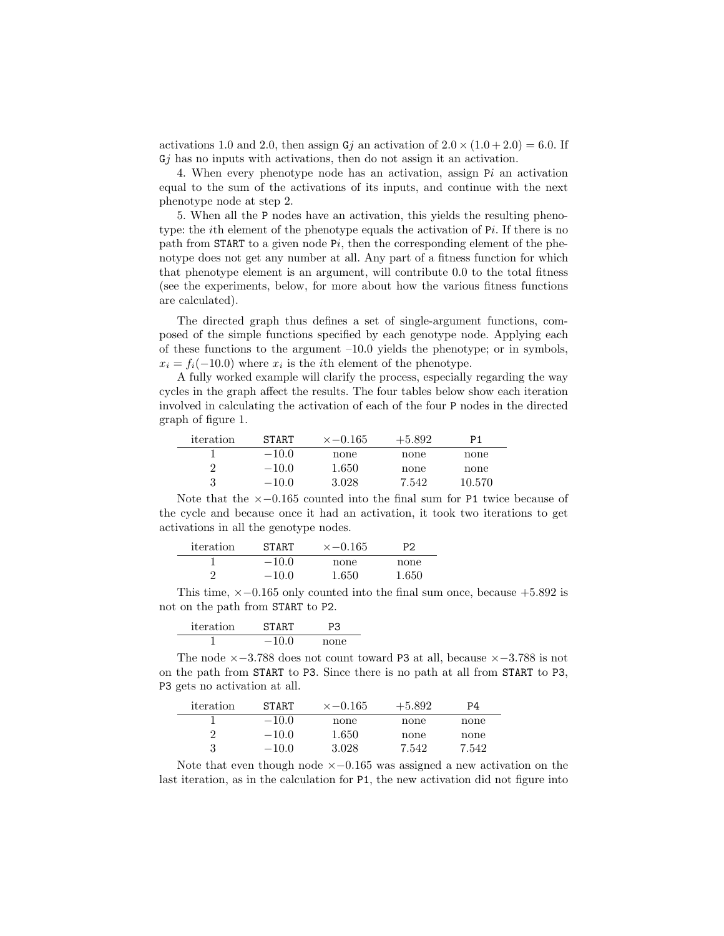activations 1.0 and 2.0, then assign  $Gj$  an activation of  $2.0 \times (1.0 + 2.0) = 6.0$ . If G*j* has no inputs with activations, then do not assign it an activation.

4. When every phenotype node has an activation, assign P*i* an activation equal to the sum of the activations of its inputs, and continue with the next phenotype node at step 2.

5. When all the P nodes have an activation, this yields the resulting phenotype: the *i*th element of the phenotype equals the activation of P*i*. If there is no path from START to a given node P*i*, then the corresponding element of the phenotype does not get any number at all. Any part of a fitness function for which that phenotype element is an argument, will contribute 0.0 to the total fitness (see the experiments, below, for more about how the various fitness functions are calculated).

The directed graph thus defines a set of single-argument functions, composed of the simple functions specified by each genotype node. Applying each of these functions to the argument  $-10.0$  yields the phenotype; or in symbols,  $x_i = f_i(-10.0)$  where  $x_i$  is the *i*th element of the phenotype.

A fully worked example will clarify the process, especially regarding the way cycles in the graph affect the results. The four tables below show each iteration involved in calculating the activation of each of the four P nodes in the directed graph of figure 1.

| iteration | <b>START</b> | $x - 0.165$ | $+5.892$ | P1     |
|-----------|--------------|-------------|----------|--------|
|           | $-10.0$      | none        | none     | none   |
|           | $-10.0$      | 1.650       | none     | none   |
| 3         | $-10.0$      | 3.028       | 7.542    | 10.570 |

Note that the *×−*0*.*165 counted into the final sum for P1 twice because of the cycle and because once it had an activation, it took two iterations to get activations in all the genotype nodes.

| iteration | <b>START</b> | $x = 0.165$ | P2    |
|-----------|--------------|-------------|-------|
|           | $-10.0$      | none        | none  |
|           | $-10.0$      | 1.650       | 1.650 |

This time, *×−*0*.*165 only counted into the final sum once, because +5*.*892 is not on the path from START to P2.

| iteration | <b>START</b> | PЗ   |
|-----------|--------------|------|
|           | $-100$       | none |

The node *×−*3*.*788 does not count toward P3 at all, because *×−*3*.*788 is not on the path from START to P3. Since there is no path at all from START to P3, P3 gets no activation at all.

| iteration | <b>START</b> | $x - 0.165$ | $+5.892$ | P4    |
|-----------|--------------|-------------|----------|-------|
|           | $-10.0$      | none        | none     | none  |
| 2         | $-10.0$      | 1.650       | none     | none  |
| 3         | $-10.0$      | 3.028       | 7.542    | 7.542 |
|           |              |             |          |       |

Note that even though node *×−*0*.*165 was assigned a new activation on the last iteration, as in the calculation for P1, the new activation did not figure into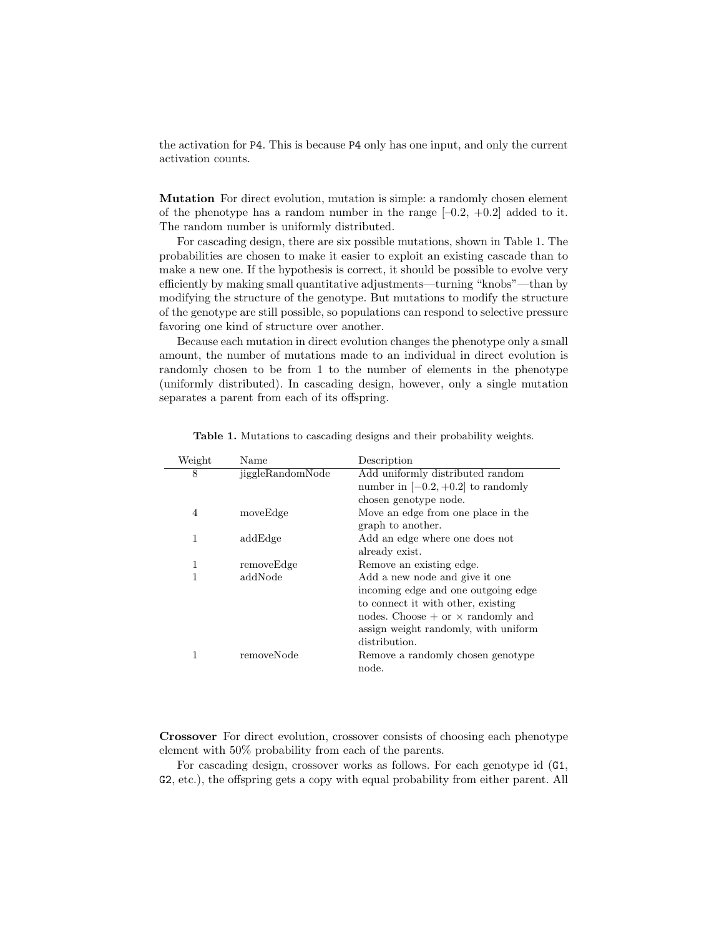the activation for P4. This is because P4 only has one input, and only the current activation counts.

**Mutation** For direct evolution, mutation is simple: a randomly chosen element of the phenotype has a random number in the range  $[-0.2, +0.2]$  added to it. The random number is uniformly distributed.

For cascading design, there are six possible mutations, shown in Table 1. The probabilities are chosen to make it easier to exploit an existing cascade than to make a new one. If the hypothesis is correct, it should be possible to evolve very efficiently by making small quantitative adjustments—turning "knobs"—than by modifying the structure of the genotype. But mutations to modify the structure of the genotype are still possible, so populations can respond to selective pressure favoring one kind of structure over another.

Because each mutation in direct evolution changes the phenotype only a small amount, the number of mutations made to an individual in direct evolution is randomly chosen to be from 1 to the number of elements in the phenotype (uniformly distributed). In cascading design, however, only a single mutation separates a parent from each of its offspring.

|                  | Description                                |
|------------------|--------------------------------------------|
| jiggleRandomNode | Add uniformly distributed random           |
|                  | number in $[-0.2, +0.2]$ to randomly       |
|                  | chosen genotype node.                      |
| moveEdge         | Move an edge from one place in the         |
|                  | graph to another.                          |
| addEdge          | Add an edge where one does not             |
|                  | already exist.                             |
| removeEdge       | Remove an existing edge.                   |
| addNode          | Add a new node and give it one             |
|                  | incoming edge and one outgoing edge        |
|                  | to connect it with other, existing         |
|                  | nodes. Choose $+$ or $\times$ randomly and |
|                  | assign weight randomly, with uniform       |
|                  | distribution.                              |
| removeNode       | Remove a randomly chosen genotype          |
|                  | node.                                      |
|                  |                                            |

**Table 1.** Mutations to cascading designs and their probability weights.

**Crossover** For direct evolution, crossover consists of choosing each phenotype element with 50% probability from each of the parents.

For cascading design, crossover works as follows. For each genotype id (G1, G2, etc.), the offspring gets a copy with equal probability from either parent. All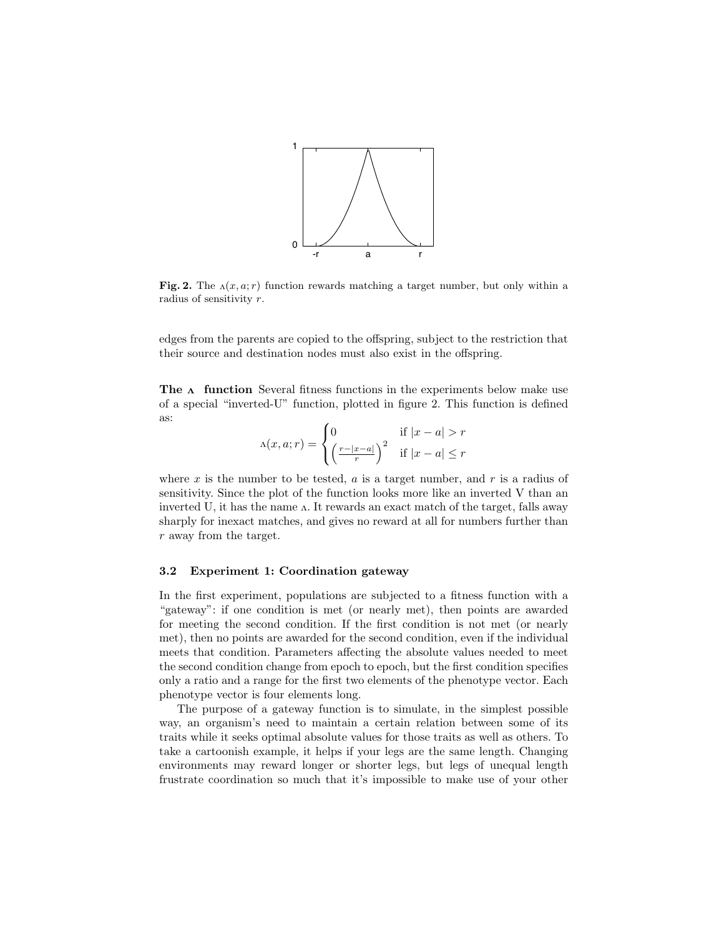

**Fig. 2.** The  $\Lambda(x, a; r)$  function rewards matching a target number, but only within a radius of sensitivity *r*.

edges from the parents are copied to the offspring, subject to the restriction that their source and destination nodes must also exist in the offspring.

**The**  $\Lambda$  function Several fitness functions in the experiments below make use of a special "inverted-U" function, plotted in figure 2. This function is defined as:

$$
\Lambda(x, a; r) = \begin{cases} 0 & \text{if } |x - a| > r \\ \left(\frac{r - |x - a|}{r}\right)^2 & \text{if } |x - a| \le r \end{cases}
$$

where *x* is the number to be tested, *a* is a target number, and *r* is a radius of sensitivity. Since the plot of the function looks more like an inverted V than an inverted U, it has the name  $\Lambda$ . It rewards an exact match of the target, falls away sharply for inexact matches, and gives no reward at all for numbers further than *r* away from the target.

### **3.2 Experiment 1: Coordination gateway**

In the first experiment, populations are subjected to a fitness function with a "gateway": if one condition is met (or nearly met), then points are awarded for meeting the second condition. If the first condition is not met (or nearly met), then no points are awarded for the second condition, even if the individual meets that condition. Parameters affecting the absolute values needed to meet the second condition change from epoch to epoch, but the first condition specifies only a ratio and a range for the first two elements of the phenotype vector. Each phenotype vector is four elements long.

The purpose of a gateway function is to simulate, in the simplest possible way, an organism's need to maintain a certain relation between some of its traits while it seeks optimal absolute values for those traits as well as others. To take a cartoonish example, it helps if your legs are the same length. Changing environments may reward longer or shorter legs, but legs of unequal length frustrate coordination so much that it's impossible to make use of your other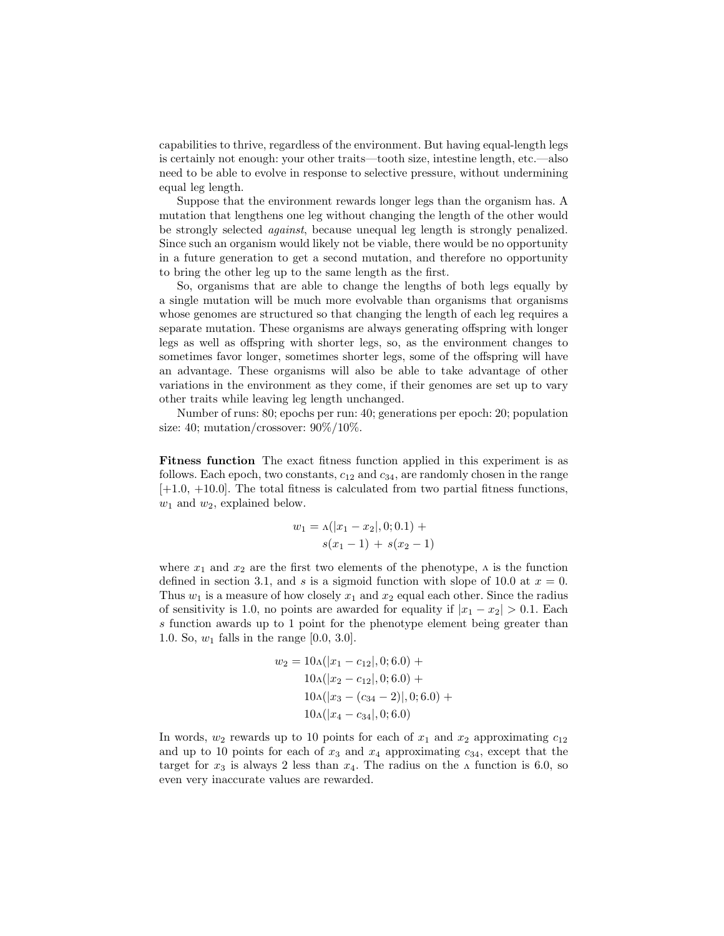capabilities to thrive, regardless of the environment. But having equal-length legs is certainly not enough: your other traits—tooth size, intestine length, etc.—also need to be able to evolve in response to selective pressure, without undermining equal leg length.

Suppose that the environment rewards longer legs than the organism has. A mutation that lengthens one leg without changing the length of the other would be strongly selected *against*, because unequal leg length is strongly penalized. Since such an organism would likely not be viable, there would be no opportunity in a future generation to get a second mutation, and therefore no opportunity to bring the other leg up to the same length as the first.

So, organisms that are able to change the lengths of both legs equally by a single mutation will be much more evolvable than organisms that organisms whose genomes are structured so that changing the length of each leg requires a separate mutation. These organisms are always generating offspring with longer legs as well as offspring with shorter legs, so, as the environment changes to sometimes favor longer, sometimes shorter legs, some of the offspring will have an advantage. These organisms will also be able to take advantage of other variations in the environment as they come, if their genomes are set up to vary other traits while leaving leg length unchanged.

Number of runs: 80; epochs per run: 40; generations per epoch: 20; population size: 40; mutation/crossover:  $90\%/10\%$ .

**Fitness function** The exact fitness function applied in this experiment is as follows. Each epoch, two constants, *c*<sup>12</sup> and *c*34, are randomly chosen in the range  $[+1.0, +10.0]$ . The total fitness is calculated from two partial fitness functions, *w*<sup>1</sup> and *w*2, explained below.

$$
w_1 = \Lambda(|x_1 - x_2|, 0; 0.1) +
$$
  

$$
s(x_1 - 1) + s(x_2 - 1)
$$

where  $x_1$  and  $x_2$  are the first two elements of the phenotype,  $\Lambda$  is the function defined in section 3.1, and *s* is a sigmoid function with slope of 10.0 at  $x = 0$ . Thus  $w_1$  is a measure of how closely  $x_1$  and  $x_2$  equal each other. Since the radius of sensitivity is 1.0, no points are awarded for equality if  $|x_1 - x_2| > 0.1$ . Each *s* function awards up to 1 point for the phenotype element being greater than 1.0. So, *w*<sup>1</sup> falls in the range [0.0, 3.0].

$$
w_2 = 10\Lambda(|x_1 - c_{12}|, 0; 6.0) +
$$
  
\n
$$
10\Lambda(|x_2 - c_{12}|, 0; 6.0) +
$$
  
\n
$$
10\Lambda(|x_3 - (c_{34} - 2)|, 0; 6.0) +
$$
  
\n
$$
10\Lambda(|x_4 - c_{34}|, 0; 6.0)
$$

In words,  $w_2$  rewards up to 10 points for each of  $x_1$  and  $x_2$  approximating  $c_{12}$ and up to 10 points for each of  $x_3$  and  $x_4$  approximating  $c_{34}$ , except that the target for  $x_3$  is always 2 less than  $x_4$ . The radius on the  $\Lambda$  function is 6.0, so even very inaccurate values are rewarded.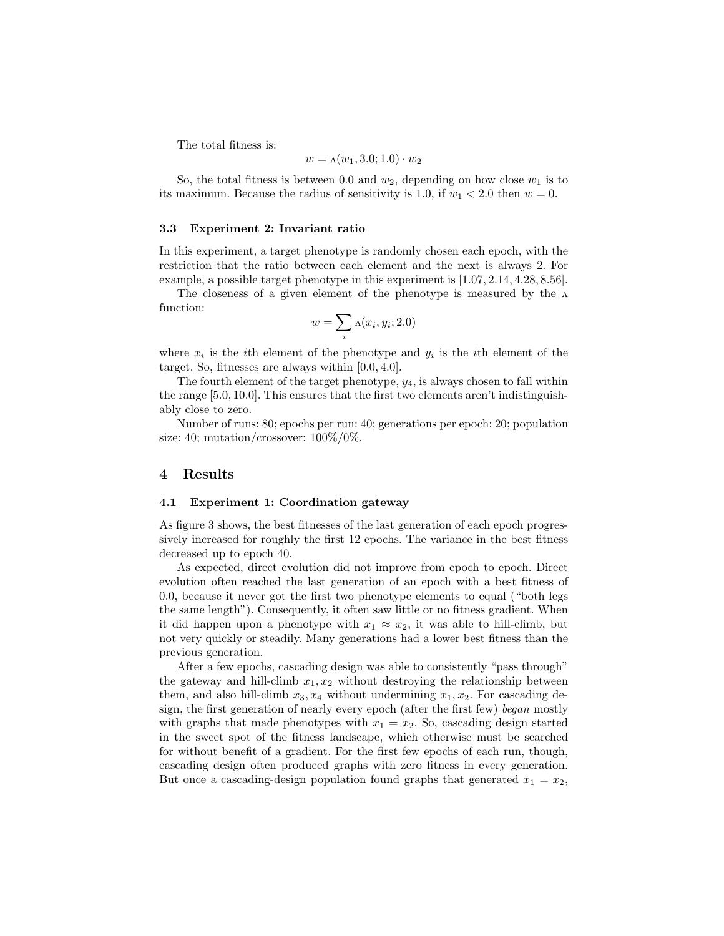The total fitness is:

$$
w = \Lambda(w_1, 3.0; 1.0) \cdot w_2
$$

So, the total fitness is between 0.0 and  $w_2$ , depending on how close  $w_1$  is to its maximum. Because the radius of sensitivity is 1.0, if  $w_1 < 2.0$  then  $w = 0$ .

### **3.3 Experiment 2: Invariant ratio**

In this experiment, a target phenotype is randomly chosen each epoch, with the restriction that the ratio between each element and the next is always 2. For example, a possible target phenotype in this experiment is [1*.*07*,* 2*.*14*,* 4*.*28*,* 8*.*56].

The closeness of a given element of the phenotype is measured by the  $\Lambda$ function:

$$
w = \sum_{i} \Lambda(x_i, y_i; 2.0)
$$

where  $x_i$  is the *i*th element of the phenotype and  $y_i$  is the *i*th element of the target. So, fitnesses are always within [0*.*0*,* 4*.*0].

The fourth element of the target phenotype, *y*4, is always chosen to fall within the range [5*.*0*,* 10*.*0]. This ensures that the first two elements aren't indistinguishably close to zero.

Number of runs: 80; epochs per run: 40; generations per epoch: 20; population size: 40; mutation/crossover: 100%/0%.

## **4 Results**

### **4.1 Experiment 1: Coordination gateway**

As figure 3 shows, the best fitnesses of the last generation of each epoch progressively increased for roughly the first 12 epochs. The variance in the best fitness decreased up to epoch 40.

As expected, direct evolution did not improve from epoch to epoch. Direct evolution often reached the last generation of an epoch with a best fitness of 0.0, because it never got the first two phenotype elements to equal ("both legs the same length"). Consequently, it often saw little or no fitness gradient. When it did happen upon a phenotype with  $x_1 \approx x_2$ , it was able to hill-climb, but not very quickly or steadily. Many generations had a lower best fitness than the previous generation.

After a few epochs, cascading design was able to consistently "pass through" the gateway and hill-climb  $x_1, x_2$  without destroying the relationship between them, and also hill-climb  $x_3, x_4$  without undermining  $x_1, x_2$ . For cascading design, the first generation of nearly every epoch (after the first few) *began* mostly with graphs that made phenotypes with  $x_1 = x_2$ . So, cascading design started in the sweet spot of the fitness landscape, which otherwise must be searched for without benefit of a gradient. For the first few epochs of each run, though, cascading design often produced graphs with zero fitness in every generation. But once a cascading-design population found graphs that generated  $x_1 = x_2$ ,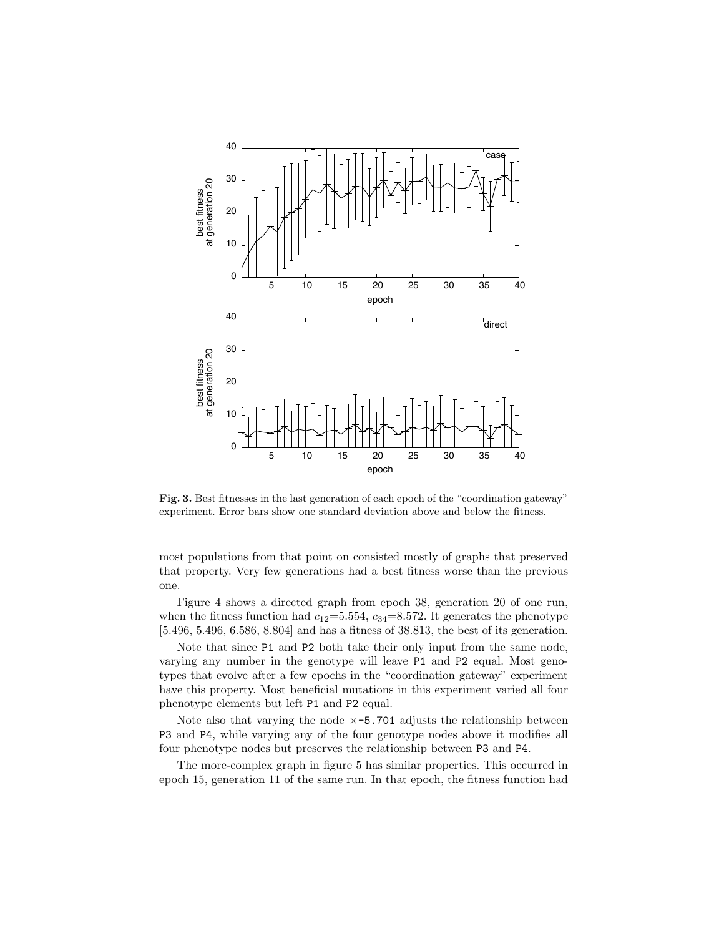

Fig. 3. Best fitnesses in the last generation of each epoch of the "coordination gateway" experiment. Error bars show one standard deviation above and below the fitness.

most populations from that point on consisted mostly of graphs that preserved that property. Very few generations had a best fitness worse than the previous one.

Figure 4 shows a directed graph from epoch 38, generation 20 of one run, when the fitness function had  $c_{12}=5.554$ ,  $c_{34}=8.572$ . It generates the phenotype  $[5.496, 5.496, 6.586, 8.804]$  and has a fitness of 38.813, the best of its generation.

Note that since P1 and P2 both take their only input from the same node, varying any number in the genotype will leave P1 and P2 equal. Most genotypes that evolve after a few epochs in the "coordination gateway" experiment have this property. Most beneficial mutations in this experiment varied all four phenotype elements but left P1 and P2 equal.

Note also that varying the node  $\times$ -5.701 adjusts the relationship between P3 and P4, while varying any of the four genotype nodes above it modifies all four phenotype nodes but preserves the relationship between P3 and P4.

The more-complex graph in figure 5 has similar properties. This occurred in epoch 15, generation 11 of the same run. In that epoch, the fitness function had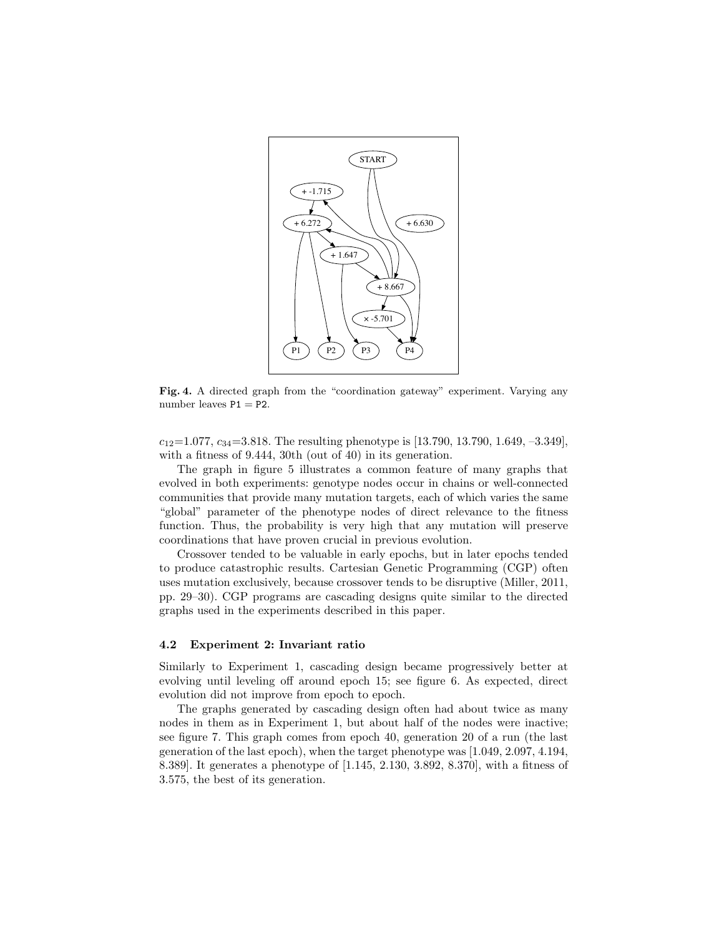

**Fig. 4.** A directed graph from the "coordination gateway" experiment. Varying any number leaves  $P1 = P2$ .

*c*12=1*.*077, *c*34=3*.*818. The resulting phenotype is [13.790, 13.790, 1.649, –3.349], with a fitness of 9.444, 30th (out of 40) in its generation.

The graph in figure 5 illustrates a common feature of many graphs that evolved in both experiments: genotype nodes occur in chains or well-connected communities that provide many mutation targets, each of which varies the same "global" parameter of the phenotype nodes of direct relevance to the fitness function. Thus, the probability is very high that any mutation will preserve coordinations that have proven crucial in previous evolution.

Crossover tended to be valuable in early epochs, but in later epochs tended to produce catastrophic results. Cartesian Genetic Programming (CGP) often uses mutation exclusively, because crossover tends to be disruptive (Miller, 2011, pp. 29–30). CGP programs are cascading designs quite similar to the directed graphs used in the experiments described in this paper.

#### **4.2 Experiment 2: Invariant ratio**

Similarly to Experiment 1, cascading design became progressively better at evolving until leveling off around epoch 15; see figure 6. As expected, direct evolution did not improve from epoch to epoch.

The graphs generated by cascading design often had about twice as many nodes in them as in Experiment 1, but about half of the nodes were inactive; see figure 7. This graph comes from epoch 40, generation 20 of a run (the last generation of the last epoch), when the target phenotype was [1.049, 2.097, 4.194, 8.389]. It generates a phenotype of [1.145, 2.130, 3.892, 8.370], with a fitness of 3.575, the best of its generation.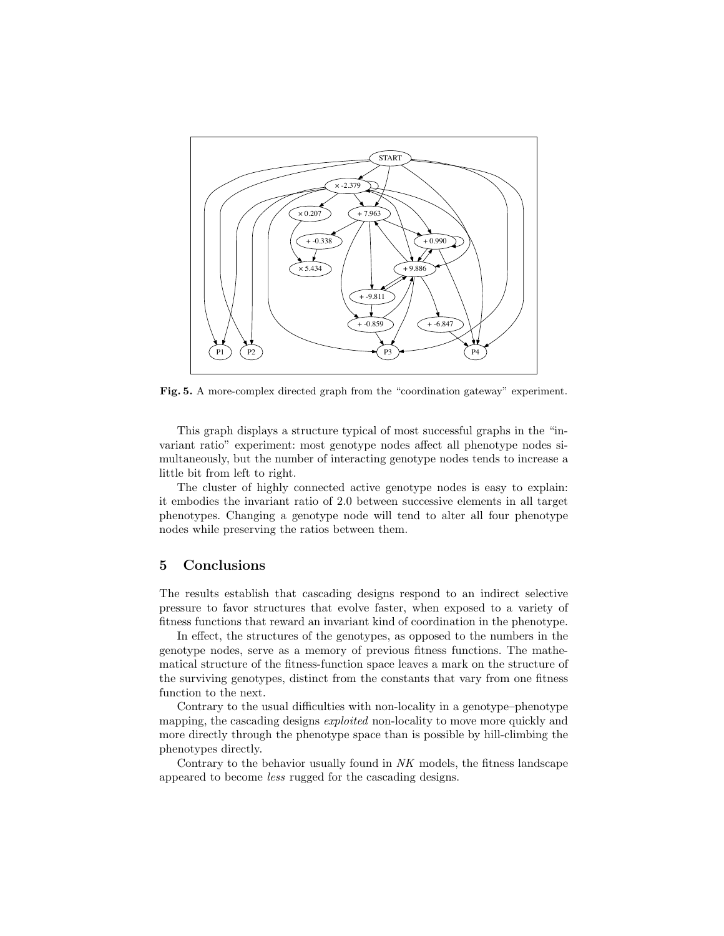

**Fig. 5.** A more-complex directed graph from the "coordination gateway" experiment.

This graph displays a structure typical of most successful graphs in the "invariant ratio" experiment: most genotype nodes affect all phenotype nodes simultaneously, but the number of interacting genotype nodes tends to increase a little bit from left to right.

The cluster of highly connected active genotype nodes is easy to explain: it embodies the invariant ratio of 2.0 between successive elements in all target phenotypes. Changing a genotype node will tend to alter all four phenotype nodes while preserving the ratios between them.

## **5 Conclusions**

The results establish that cascading designs respond to an indirect selective pressure to favor structures that evolve faster, when exposed to a variety of fitness functions that reward an invariant kind of coordination in the phenotype.

In effect, the structures of the genotypes, as opposed to the numbers in the genotype nodes, serve as a memory of previous fitness functions. The mathematical structure of the fitness-function space leaves a mark on the structure of the surviving genotypes, distinct from the constants that vary from one fitness function to the next.

Contrary to the usual difficulties with non-locality in a genotype–phenotype mapping, the cascading designs *exploited* non-locality to move more quickly and more directly through the phenotype space than is possible by hill-climbing the phenotypes directly.

Contrary to the behavior usually found in *NK* models, the fitness landscape appeared to become *less* rugged for the cascading designs.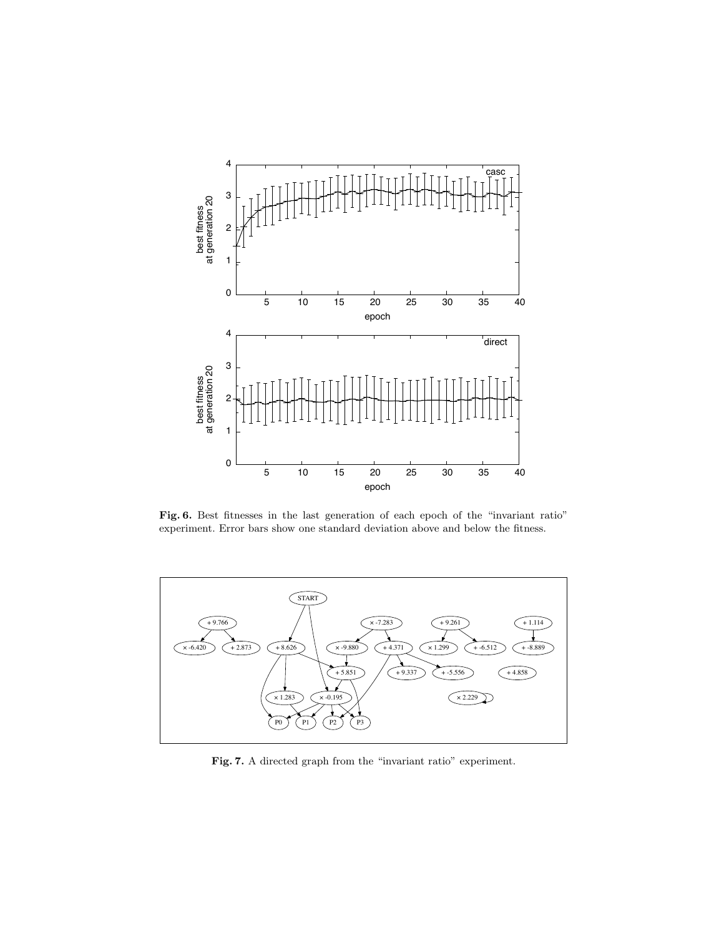

Fig. 6. Best fitnesses in the last generation of each epoch of the "invariant ratio" experiment. Error bars show one standard deviation above and below the fitness.



Fig. 7. A directed graph from the "invariant ratio" experiment.